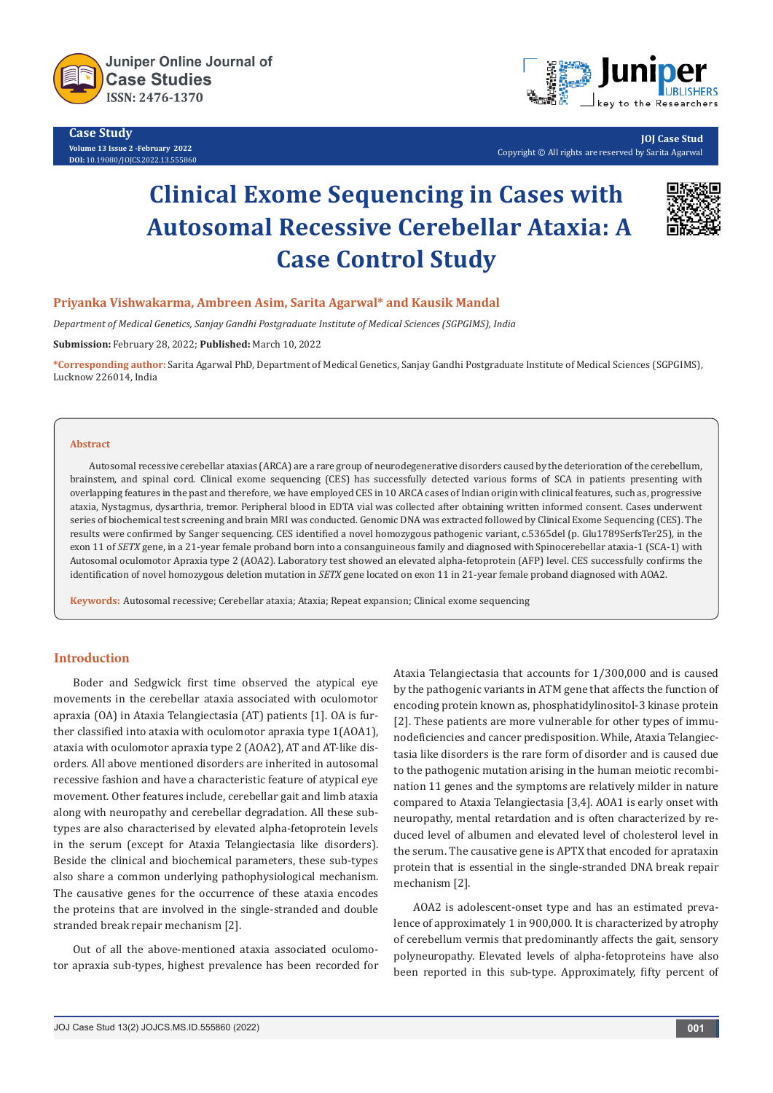

**Case Study Volume 13 Issue 2 -February 2022 DOI:** [10.19080/JOJCS.2022.13.5558](http://dx.doi.org/10.19080/JOJCS.2022.13.555860)60



**JOJ Case Stud** Copyright © All rights are reserved by Sarita Agarwal

# **Clinical Exome Sequencing in Cases with Autosomal Recessive Cerebellar Ataxia: A Case Control Study**



#### **Priyanka Vishwakarma, Ambreen Asim, Sarita Agarwal\* and Kausik Mandal**

*Department of Medical Genetics, Sanjay Gandhi Postgraduate Institute of Medical Sciences (SGPGIMS), India*

**Submission:** February 28, 2022; **Published:** March 10, 2022

**\*Corresponding author:** Sarita Agarwal PhD, Department of Medical Genetics, Sanjay Gandhi Postgraduate Institute of Medical Sciences (SGPGIMS), Lucknow 226014, India

#### **Abstract**

Autosomal recessive cerebellar ataxias (ARCA) are a rare group of neurodegenerative disorders caused by the deterioration of the cerebellum, brainstem, and spinal cord. Clinical exome sequencing (CES) has successfully detected various forms of SCA in patients presenting with overlapping features in the past and therefore, we have employed CES in 10 ARCA cases of Indian origin with clinical features, such as, progressive ataxia, Nystagmus, dysarthria, tremor. Peripheral blood in EDTA vial was collected after obtaining written informed consent. Cases underwent series of biochemical test screening and brain MRI was conducted. Genomic DNA was extracted followed by Clinical Exome Sequencing (CES). The results were confirmed by Sanger sequencing. CES identified a novel homozygous pathogenic variant, c.5365del (p. Glu1789SerfsTer25), in the exon 11 of *SETX* gene, in a 21-year female proband born into a consanguineous family and diagnosed with Spinocerebellar ataxia-1 (SCA-1) with Autosomal oculomotor Apraxia type 2 (AOA2). Laboratory test showed an elevated alpha-fetoprotein (AFP) level. CES successfully confirms the identification of novel homozygous deletion mutation in *SETX* gene located on exon 11 in 21-year female proband diagnosed with AOA2.

**Keywords:** Autosomal recessive; Cerebellar ataxia; Ataxia; Repeat expansion; Clinical exome sequencing

# **Introduction**

Boder and Sedgwick first time observed the atypical eye movements in the cerebellar ataxia associated with oculomotor apraxia (OA) in Ataxia Telangiectasia (AT) patients [1]. OA is further classified into ataxia with oculomotor apraxia type 1(AOA1), ataxia with oculomotor apraxia type 2 (AOA2), AT and AT-like disorders. All above mentioned disorders are inherited in autosomal recessive fashion and have a characteristic feature of atypical eye movement. Other features include, cerebellar gait and limb ataxia along with neuropathy and cerebellar degradation. All these subtypes are also characterised by elevated alpha-fetoprotein levels in the serum (except for Ataxia Telangiectasia like disorders). Beside the clinical and biochemical parameters, these sub-types also share a common underlying pathophysiological mechanism. The causative genes for the occurrence of these ataxia encodes the proteins that are involved in the single-stranded and double stranded break repair mechanism [2].

Out of all the above-mentioned ataxia associated oculomotor apraxia sub-types, highest prevalence has been recorded for Ataxia Telangiectasia that accounts for 1/300,000 and is caused by the pathogenic variants in ATM gene that affects the function of encoding protein known as, phosphatidylinositol-3 kinase protein [2]. These patients are more vulnerable for other types of immunodeficiencies and cancer predisposition. While, Ataxia Telangiectasia like disorders is the rare form of disorder and is caused due to the pathogenic mutation arising in the human meiotic recombination 11 genes and the symptoms are relatively milder in nature compared to Ataxia Telangiectasia [3,4]. AOA1 is early onset with neuropathy, mental retardation and is often characterized by reduced level of albumen and elevated level of cholesterol level in the serum. The causative gene is APTX that encoded for aprataxin protein that is essential in the single-stranded DNA break repair mechanism [2].

AOA2 is adolescent-onset type and has an estimated prevalence of approximately 1 in 900,000. It is characterized by atrophy of cerebellum vermis that predominantly affects the gait, sensory polyneuropathy. Elevated levels of alpha-fetoproteins have also been reported in this sub-type. Approximately, fifty percent of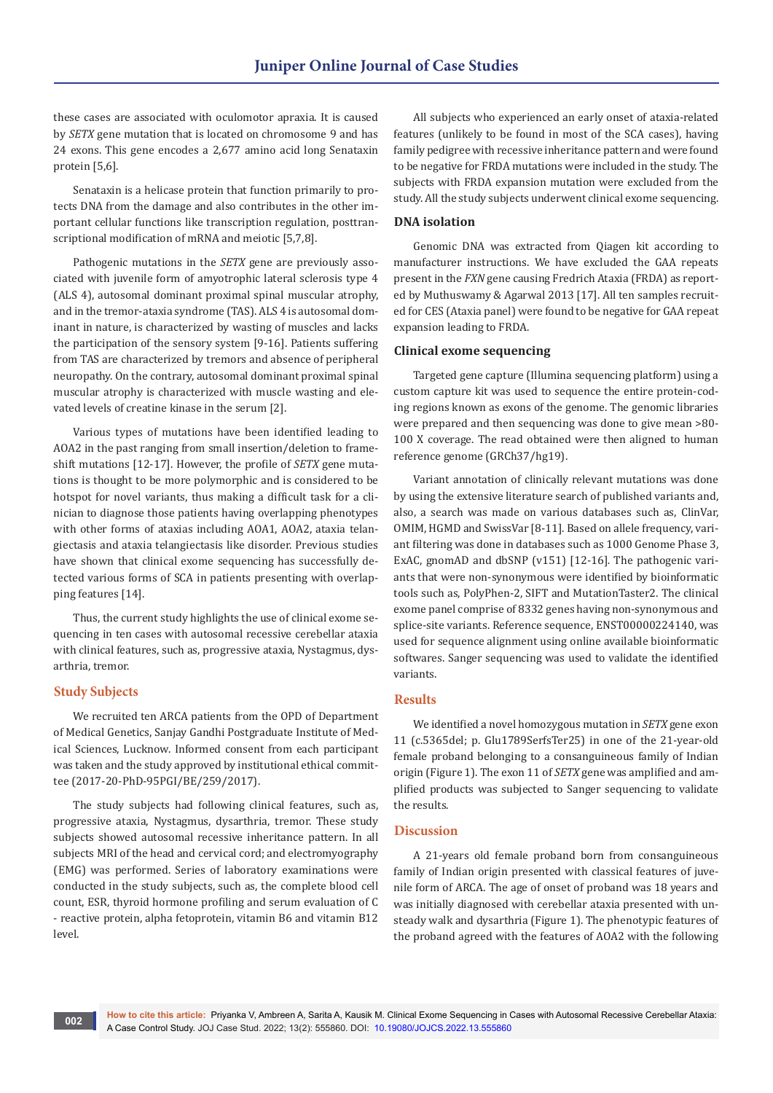these cases are associated with oculomotor apraxia. It is caused by *SETX* gene mutation that is located on chromosome 9 and has 24 exons. This gene encodes a 2,677 amino acid long Senataxin protein [5,6].

Senataxin is a helicase protein that function primarily to protects DNA from the damage and also contributes in the other important cellular functions like transcription regulation, posttranscriptional modification of mRNA and meiotic [5,7,8].

Pathogenic mutations in the *SETX* gene are previously associated with juvenile form of amyotrophic lateral sclerosis type 4 (ALS 4), autosomal dominant proximal spinal muscular atrophy, and in the tremor-ataxia syndrome (TAS). ALS 4 is autosomal dominant in nature, is characterized by wasting of muscles and lacks the participation of the sensory system [9-16]. Patients suffering from TAS are characterized by tremors and absence of peripheral neuropathy. On the contrary, autosomal dominant proximal spinal muscular atrophy is characterized with muscle wasting and elevated levels of creatine kinase in the serum [2].

Various types of mutations have been identified leading to AOA2 in the past ranging from small insertion/deletion to frameshift mutations [12-17]. However, the profile of *SETX* gene mutations is thought to be more polymorphic and is considered to be hotspot for novel variants, thus making a difficult task for a clinician to diagnose those patients having overlapping phenotypes with other forms of ataxias including AOA1, AOA2, ataxia telangiectasis and ataxia telangiectasis like disorder. Previous studies have shown that clinical exome sequencing has successfully detected various forms of SCA in patients presenting with overlapping features [14].

Thus, the current study highlights the use of clinical exome sequencing in ten cases with autosomal recessive cerebellar ataxia with clinical features, such as, progressive ataxia, Nystagmus, dysarthria, tremor.

### **Study Subjects**

We recruited ten ARCA patients from the OPD of Department of Medical Genetics, Sanjay Gandhi Postgraduate Institute of Medical Sciences, Lucknow. Informed consent from each participant was taken and the study approved by institutional ethical committee (2017-20-PhD-95PGI/BE/259/2017).

The study subjects had following clinical features, such as, progressive ataxia, Nystagmus, dysarthria, tremor. These study subjects showed autosomal recessive inheritance pattern. In all subjects MRI of the head and cervical cord; and electromyography (EMG) was performed. Series of laboratory examinations were conducted in the study subjects, such as, the complete blood cell count, ESR, thyroid hormone profiling and serum evaluation of C - reactive protein, alpha fetoprotein, vitamin B6 and vitamin B12 level.

All subjects who experienced an early onset of ataxia-related features (unlikely to be found in most of the SCA cases), having family pedigree with recessive inheritance pattern and were found to be negative for FRDA mutations were included in the study. The subjects with FRDA expansion mutation were excluded from the study. All the study subjects underwent clinical exome sequencing.

#### **DNA isolation**

Genomic DNA was extracted from Qiagen kit according to manufacturer instructions. We have excluded the GAA repeats present in the *FXN* gene causing Fredrich Ataxia (FRDA) as reported by Muthuswamy & Agarwal 2013 [17]. All ten samples recruited for CES (Ataxia panel) were found to be negative for GAA repeat expansion leading to FRDA.

### **Clinical exome sequencing**

Targeted gene capture (Illumina sequencing platform) using a custom capture kit was used to sequence the entire protein-coding regions known as exons of the genome. The genomic libraries were prepared and then sequencing was done to give mean >80- 100 X coverage. The read obtained were then aligned to human reference genome (GRCh37/hg19).

Variant annotation of clinically relevant mutations was done by using the extensive literature search of published variants and, also, a search was made on various databases such as, ClinVar, OMIM, HGMD and SwissVar [8-11]. Based on allele frequency, variant filtering was done in databases such as 1000 Genome Phase 3, ExAC, gnomAD and dbSNP (v151) [12-16]*.* The pathogenic variants that were non-synonymous were identified by bioinformatic tools such as, PolyPhen-2, SIFT and MutationTaster2. The clinical exome panel comprise of 8332 genes having non-synonymous and splice-site variants. Reference sequence, ENST00000224140, was used for sequence alignment using online available bioinformatic softwares. Sanger sequencing was used to validate the identified variants.

#### **Results**

We identified a novel homozygous mutation in *SETX* gene exon 11 (c.5365del; p. Glu1789SerfsTer25) in one of the 21-year-old female proband belonging to a consanguineous family of Indian origin (Figure 1). The exon 11 of *SETX* gene was amplified and amplified products was subjected to Sanger sequencing to validate the results.

### **Discussion**

A 21-years old female proband born from consanguineous family of Indian origin presented with classical features of juvenile form of ARCA. The age of onset of proband was 18 years and was initially diagnosed with cerebellar ataxia presented with unsteady walk and dysarthria (Figure 1). The phenotypic features of the proband agreed with the features of AOA2 with the following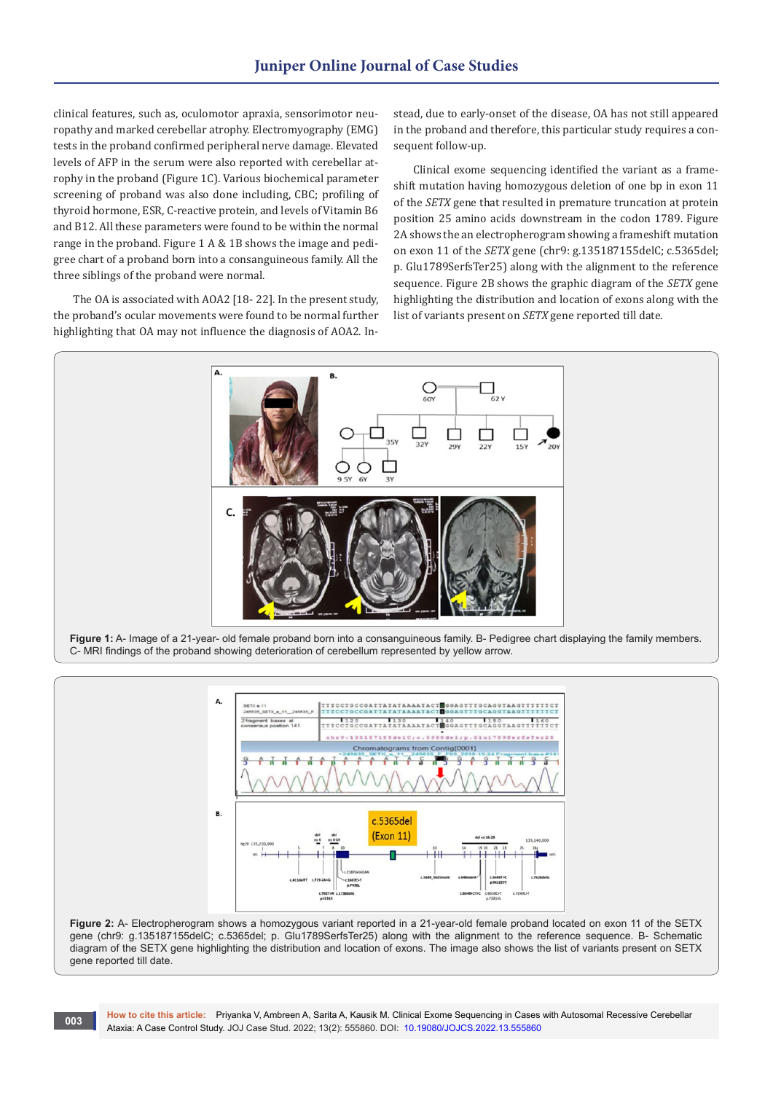clinical features, such as, oculomotor apraxia, sensorimotor neuropathy and marked cerebellar atrophy. Electromyography (EMG) tests in the proband confirmed peripheral nerve damage. Elevated levels of AFP in the serum were also reported with cerebellar atrophy in the proband (Figure 1C). Various biochemical parameter screening of proband was also done including, CBC; profiling of thyroid hormone, ESR, C-reactive protein, and levels of Vitamin B6 and B12. All these parameters were found to be within the normal range in the proband. Figure 1 A & 1B shows the image and pedigree chart of a proband born into a consanguineous family. All the three siblings of the proband were normal.

The OA is associated with AOA2 [18- 22]*.* In the present study, the proband's ocular movements were found to be normal further highlighting that OA may not influence the diagnosis of AOA2. Instead, due to early-onset of the disease, OA has not still appeared in the proband and therefore, this particular study requires a consequent follow-up.

Clinical exome sequencing identified the variant as a frameshift mutation having homozygous deletion of one bp in exon 11 of the *SETX* gene that resulted in premature truncation at protein position 25 amino acids downstream in the codon 1789. Figure 2A shows the an electropherogram showing a frameshift mutation on exon 11 of the *SETX* gene (chr9: g.135187155delC; c.5365del; p. Glu1789SerfsTer25) along with the alignment to the reference sequence. Figure 2B shows the graphic diagram of the *SETX* gene highlighting the distribution and location of exons along with the list of variants present on *SETX* gene reported till date.





**Figure 2:** A- Electropherogram shows a homozygous variant reported in a 21-year-old female proband located on exon 11 of the SETX gene (chr9: g.135187155delC; c.5365del; p. Glu1789SerfsTer25) along with the alignment to the reference sequence. B- Schematic diagram of the SETX gene highlighting the distribution and location of exons. The image also shows the list of variants present on SETX gene reported till date.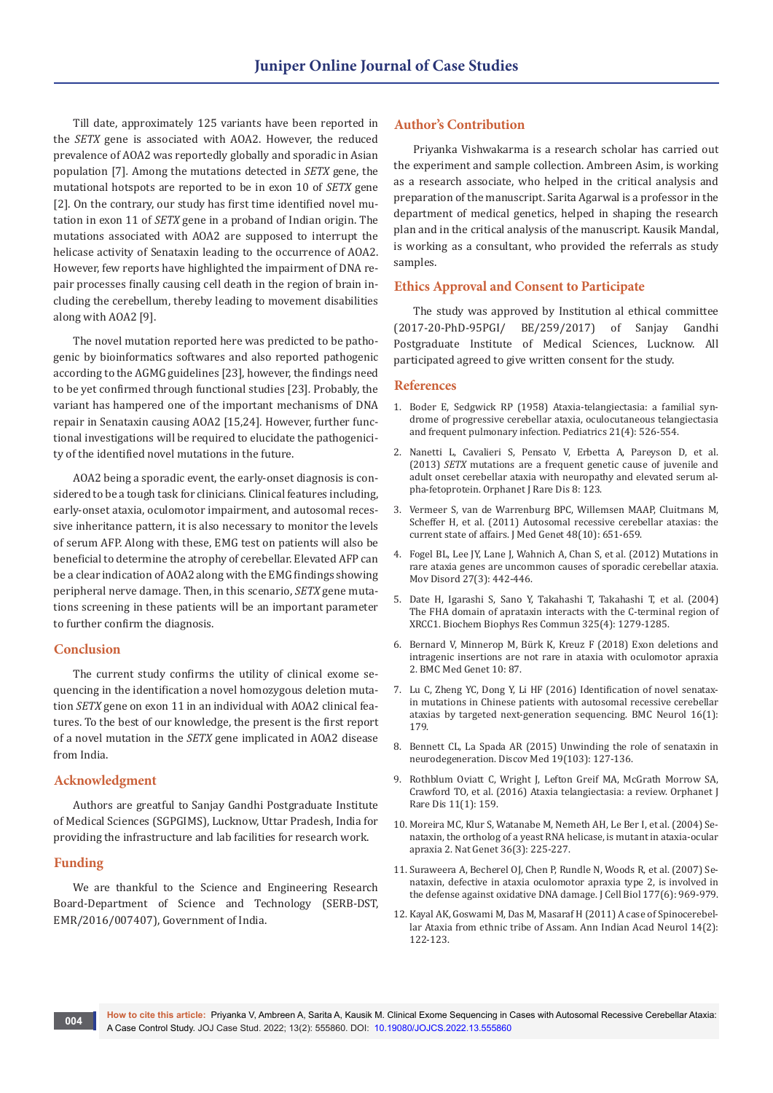Till date, approximately 125 variants have been reported in the *SETX* gene is associated with AOA2. However, the reduced prevalence of AOA2 was reportedly globally and sporadic in Asian population [7]*.* Among the mutations detected in *SETX* gene, the mutational hotspots are reported to be in exon 10 of *SETX* gene [2]. On the contrary, our study has first time identified novel mutation in exon 11 of *SETX* gene in a proband of Indian origin. The mutations associated with AOA2 are supposed to interrupt the helicase activity of Senataxin leading to the occurrence of AOA2. However, few reports have highlighted the impairment of DNA repair processes finally causing cell death in the region of brain including the cerebellum, thereby leading to movement disabilities along with AOA2 [9].

The novel mutation reported here was predicted to be pathogenic by bioinformatics softwares and also reported pathogenic according to the AGMG guidelines [23], however, the findings need to be yet confirmed through functional studies [23]*.* Probably, the variant has hampered one of the important mechanisms of DNA repair in Senataxin causing AOA2 [15,24]*.* However, further functional investigations will be required to elucidate the pathogenicity of the identified novel mutations in the future.

AOA2 being a sporadic event, the early-onset diagnosis is considered to be a tough task for clinicians. Clinical features including, early-onset ataxia, oculomotor impairment, and autosomal recessive inheritance pattern, it is also necessary to monitor the levels of serum AFP. Along with these, EMG test on patients will also be beneficial to determine the atrophy of cerebellar. Elevated AFP can be a clear indication of AOA2 along with the EMG findings showing peripheral nerve damage. Then, in this scenario, *SETX* gene mutations screening in these patients will be an important parameter to further confirm the diagnosis.

# **Conclusion**

The current study confirms the utility of clinical exome sequencing in the identification a novel homozygous deletion mutation *SETX* gene on exon 11 in an individual with AOA2 clinical features. To the best of our knowledge, the present is the first report of a novel mutation in the *SETX* gene implicated in AOA2 disease from India.

# **Acknowledgment**

Authors are greatful to Sanjay Gandhi Postgraduate Institute of Medical Sciences (SGPGIMS), Lucknow, Uttar Pradesh, India for providing the infrastructure and lab facilities for research work.

### **Funding**

We are thankful to the Science and Engineering Research Board-Department of Science and Technology (SERB-DST, EMR/2016/007407), Government of India.

# **Author's Contribution**

Priyanka Vishwakarma is a research scholar has carried out the experiment and sample collection. Ambreen Asim, is working as a research associate, who helped in the critical analysis and preparation of the manuscript. Sarita Agarwal is a professor in the department of medical genetics, helped in shaping the research plan and in the critical analysis of the manuscript. Kausik Mandal, is working as a consultant, who provided the referrals as study samples.

#### **Ethics Approval and Consent to Participate**

The study was approved by Institution al ethical committee (2017-20-PhD-95PGI/ BE/259/2017) of Sanjay Gandhi Postgraduate Institute of Medical Sciences, Lucknow. All participated agreed to give written consent for the study.

#### **References**

- 1. [Boder E, Sedgwick RP \(1958\) Ataxia-telangiectasia: a familial syn](https://pubmed.ncbi.nlm.nih.gov/13542097/)[drome of progressive cerebellar ataxia, oculocutaneous telangiectasia](https://pubmed.ncbi.nlm.nih.gov/13542097/)  [and frequent pulmonary infection. Pediatrics 21\(4\): 526-554.](https://pubmed.ncbi.nlm.nih.gov/13542097/)
- 2. [Nanetti L, Cavalieri S, Pensato V,](https://pubmed.ncbi.nlm.nih.gov/23941260/) Erbetta A, Pareyson D, et al. (2013) *SETX* [mutations are a frequent genetic cause of juvenile and](https://pubmed.ncbi.nlm.nih.gov/23941260/)  [adult onset cerebellar ataxia with neuropathy and elevated serum al](https://pubmed.ncbi.nlm.nih.gov/23941260/)pha-fetoprotein. [Orphanet J Rare Dis 8:](https://pubmed.ncbi.nlm.nih.gov/23941260/) 123.
- 3. [Vermeer S, van de Warrenburg BPC, Willemsen MAAP, Cluitmans M,](https://pubmed.ncbi.nlm.nih.gov/21856962/)  [Scheffer H, et al. \(2011\) Autosomal recessive cerebellar ataxias: the](https://pubmed.ncbi.nlm.nih.gov/21856962/)  [current state of affairs. J Med Genet 48\(10\): 651-659.](https://pubmed.ncbi.nlm.nih.gov/21856962/)
- 4. [Fogel BL, Lee JY, Lane J, Wahnich A, Chan S, et al. \(2012\) Mutations in](https://pubmed.ncbi.nlm.nih.gov/22287014/)  [rare ataxia genes are uncommon causes of sporadic cerebellar ataxia.](https://pubmed.ncbi.nlm.nih.gov/22287014/)  [Mov Disord 27\(3\): 442-446.](https://pubmed.ncbi.nlm.nih.gov/22287014/)
- 5. [Date H, Igarashi S, Sano Y, Takahashi T, Takahashi T, et al. \(2004\)](https://pubmed.ncbi.nlm.nih.gov/15555565/)  [The FHA domain of aprataxin interacts with the C-terminal region of](https://pubmed.ncbi.nlm.nih.gov/15555565/)  [XRCC1. Biochem Biophys Res Commun 325\(4\): 1279-1285.](https://pubmed.ncbi.nlm.nih.gov/15555565/)
- 6. Bernard V, Minnerop M, Bürk K, Kreuz F (2018) Exon deletions and intragenic insertions are not rare in ataxia with oculomotor apraxia 2. BMC Med Genet 10: 87.
- 7. [Lu C, Zheng YC, Dong Y, Li HF \(2016\) Identification of novel senatax](https://pubmed.ncbi.nlm.nih.gov/27644330/)[in mutations in Chinese patients with autosomal recessive cerebellar](https://pubmed.ncbi.nlm.nih.gov/27644330/)  [ataxias by targeted next-generation sequencing.](https://pubmed.ncbi.nlm.nih.gov/27644330/) BMC Neurol 16(1): [179.](https://pubmed.ncbi.nlm.nih.gov/27644330/)
- 8. [Bennett CL, La Spada AR \(2015\) Unwinding the role of senataxin in](https://pubmed.ncbi.nlm.nih.gov/25725227/)  [neurodegeneration. Discov Med 19\(103\): 127-136.](https://pubmed.ncbi.nlm.nih.gov/25725227/)
- 9. [Rothblum Oviatt C, Wright J, Lefton Greif MA, McGrath Morrow SA,](https://pubmed.ncbi.nlm.nih.gov/27884168/)  [Crawford TO, et al. \(2016\) Ataxia telangiectasia: a review.](https://pubmed.ncbi.nlm.nih.gov/27884168/) Orphanet J [Rare Dis 11\(1\): 159.](https://pubmed.ncbi.nlm.nih.gov/27884168/)
- 10. [Moreira MC, Klur S, Watanabe M, Nemeth AH, Le Ber I, et al. \(2004\) Se](https://pubmed.ncbi.nlm.nih.gov/14770181/)[nataxin, the ortholog of a yeast RNA helicase, is mutant in ataxia-ocular](https://pubmed.ncbi.nlm.nih.gov/14770181/)  [apraxia 2. Nat Genet 36\(3\): 225-227.](https://pubmed.ncbi.nlm.nih.gov/14770181/)
- 11. [Suraweera A, Becherel OJ, Chen P, Rundle N, Woods R, et al. \(2007\) Se](https://pubmed.ncbi.nlm.nih.gov/17562789/)[nataxin, defective in ataxia oculomotor apraxia type 2, is involved in](https://pubmed.ncbi.nlm.nih.gov/17562789/)  [the defense against oxidative DNA damage. J Cell Biol 177\(6\): 969-979.](https://pubmed.ncbi.nlm.nih.gov/17562789/)
- 12. [Kayal AK, Goswami M, Das M, Masaraf H \(2011\) A case of Spinocerebel](https://pubmed.ncbi.nlm.nih.gov/21808476/)[lar Ataxia from ethnic tribe of Assam. Ann Indian Acad Neurol 14\(2\):](https://pubmed.ncbi.nlm.nih.gov/21808476/)  [122-123.](https://pubmed.ncbi.nlm.nih.gov/21808476/)